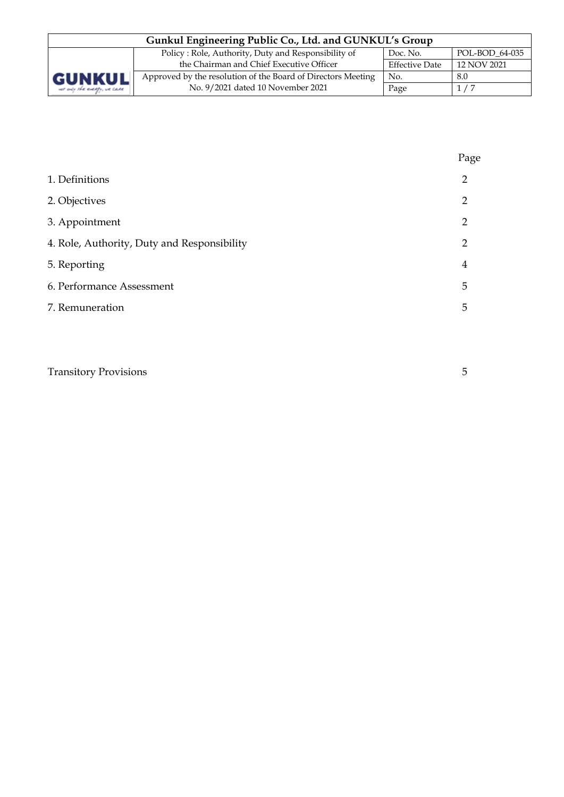| Gunkul Engineering Public Co., Ltd. and GUNKUL's Group                            |                                                              |                       |             |  |  |
|-----------------------------------------------------------------------------------|--------------------------------------------------------------|-----------------------|-------------|--|--|
| POL-BOD 64-035<br>Policy: Role, Authority, Duty and Responsibility of<br>Doc. No. |                                                              |                       |             |  |  |
| <b>GUNKUL</b><br>ver only the everyly, we care                                    | the Chairman and Chief Executive Officer                     | <b>Effective Date</b> | 12 NOV 2021 |  |  |
|                                                                                   | Approved by the resolution of the Board of Directors Meeting | No.                   | 8.0         |  |  |
|                                                                                   | No. 9/2021 dated 10 November 2021                            | Page                  | 1/7         |  |  |

|                                             | Page |
|---------------------------------------------|------|
| 1. Definitions                              | 2    |
| 2. Objectives                               | 2    |
| 3. Appointment                              | 2    |
| 4. Role, Authority, Duty and Responsibility | 2    |
| 5. Reporting                                | 4    |
| 6. Performance Assessment                   | 5    |
| 7. Remuneration                             | 5    |

| <b>Transitory Provisions</b> |  |
|------------------------------|--|
|                              |  |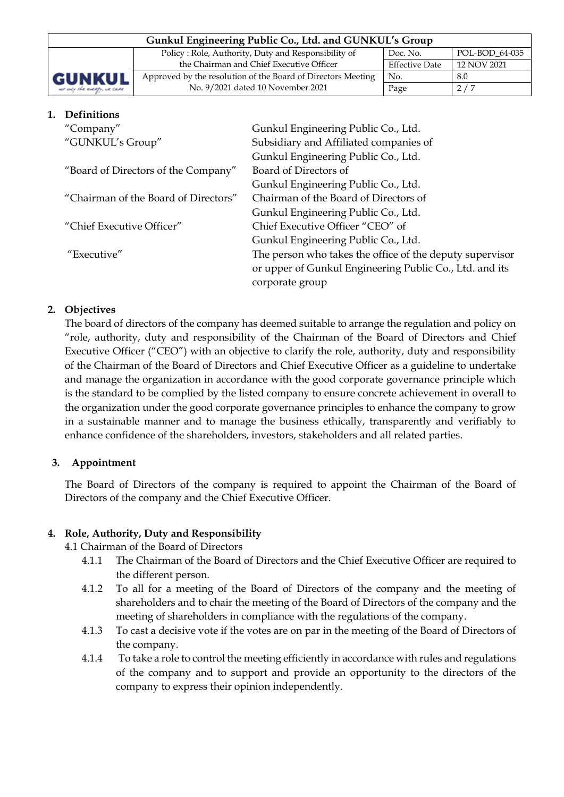| Gunkul Engineering Public Co., Ltd. and GUNKUL's Group |                                                              |                       |             |  |
|--------------------------------------------------------|--------------------------------------------------------------|-----------------------|-------------|--|
|                                                        | Doc. No.                                                     | POL-BOD 64-035        |             |  |
|                                                        | the Chairman and Chief Executive Officer                     | <b>Effective Date</b> | 12 NOV 2021 |  |
| GUNKUL                                                 | Approved by the resolution of the Board of Directors Meeting | No.                   | 8.0         |  |
| ver only the everyly, we care                          | No. 9/2021 dated 10 November 2021                            | Page                  | 2/7         |  |

# **1. Definitions**  "Company" Gunkul Engineering Public Co., Ltd. "GUNKUL's Group" Subsidiary and Affiliated companies of Gunkul Engineering Public Co., Ltd. "Board of Directors of the Company" Board of Directors of Gunkul Engineering Public Co., Ltd. "Chairman of the Board of Directors" Chairman of the Board of Directors of Gunkul Engineering Public Co., Ltd. "Chief Executive Officer" Chief Executive Officer "CEO" of Gunkul Engineering Public Co., Ltd. "Executive" The person who takes the office of the deputy supervisor or upper of Gunkul Engineering Public Co., Ltd. and its corporate group

# **2. Objectives**

The board of directors of the company has deemed suitable to arrange the regulation and policy on "role, authority, duty and responsibility of the Chairman of the Board of Directors and Chief Executive Officer ("CEO") with an objective to clarify the role, authority, duty and responsibility of the Chairman of the Board of Directors and Chief Executive Officer as a guideline to undertake and manage the organization in accordance with the good corporate governance principle which is the standard to be complied by the listed company to ensure concrete achievement in overall to the organization under the good corporate governance principles to enhance the company to grow in a sustainable manner and to manage the business ethically, transparently and verifiably to enhance confidence of the shareholders, investors, stakeholders and all related parties.

## **3. Appointment**

The Board of Directors of the company is required to appoint the Chairman of the Board of Directors of the company and the Chief Executive Officer.

## **4. Role, Authority, Duty and Responsibility**

4.1 Chairman of the Board of Directors

- 4.1.1 The Chairman of the Board of Directors and the Chief Executive Officer are required to the different person.
- 4.1.2 To all for a meeting of the Board of Directors of the company and the meeting of shareholders and to chair the meeting of the Board of Directors of the company and the meeting of shareholders in compliance with the regulations of the company.
- 4.1.3 To cast a decisive vote if the votes are on par in the meeting of the Board of Directors of the company.
- 4.1.4 To take a role to control the meeting efficiently in accordance with rules and regulations of the company and to support and provide an opportunity to the directors of the company to express their opinion independently.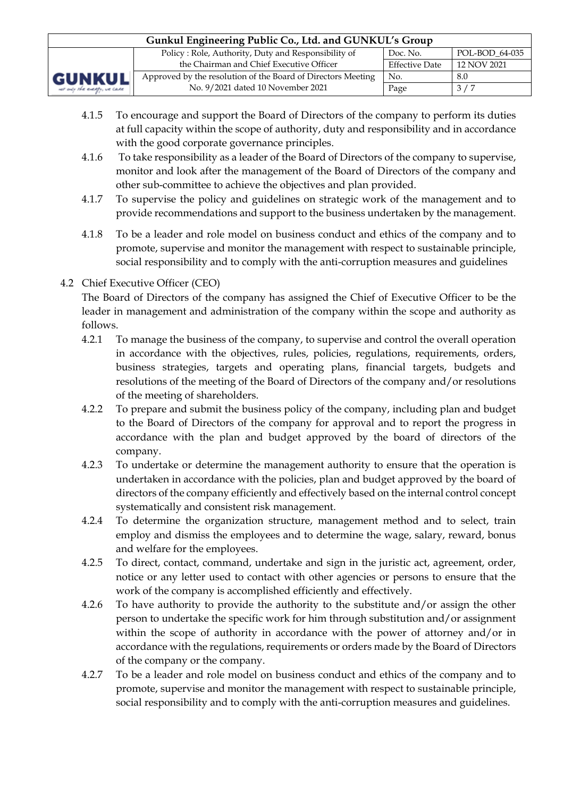| Gunkul Engineering Public Co., Ltd. and GUNKUL's Group                            |                                                              |                       |             |  |  |
|-----------------------------------------------------------------------------------|--------------------------------------------------------------|-----------------------|-------------|--|--|
| Policy: Role, Authority, Duty and Responsibility of<br>POL-BOD 64-035<br>Doc. No. |                                                              |                       |             |  |  |
| GUNKUL<br>ver only the everyly, we case                                           | the Chairman and Chief Executive Officer                     | <b>Effective Date</b> | 12 NOV 2021 |  |  |
|                                                                                   | Approved by the resolution of the Board of Directors Meeting | No.                   | 8.0         |  |  |
|                                                                                   | No. 9/2021 dated 10 November 2021                            | Page                  | 3/7         |  |  |

- 4.1.5 To encourage and support the Board of Directors of the company to perform its duties at full capacity within the scope of authority, duty and responsibility and in accordance with the good corporate governance principles.
- 4.1.6 To take responsibility as a leader of the Board of Directors of the company to supervise, monitor and look after the management of the Board of Directors of the company and other sub-committee to achieve the objectives and plan provided.
- 4.1.7 To supervise the policy and guidelines on strategic work of the management and to provide recommendations and support to the business undertaken by the management.
- 4.1.8 To be a leader and role model on business conduct and ethics of the company and to promote, supervise and monitor the management with respect to sustainable principle, social responsibility and to comply with the anti-corruption measures and guidelines

# 4.2 Chief Executive Officer (CEO)

The Board of Directors of the company has assigned the Chief of Executive Officer to be the leader in management and administration of the company within the scope and authority as follows.

- 4.2.1 To manage the business of the company, to supervise and control the overall operation in accordance with the objectives, rules, policies, regulations, requirements, orders, business strategies, targets and operating plans, financial targets, budgets and resolutions of the meeting of the Board of Directors of the company and/or resolutions of the meeting of shareholders.
- 4.2.2 To prepare and submit the business policy of the company, including plan and budget to the Board of Directors of the company for approval and to report the progress in accordance with the plan and budget approved by the board of directors of the company.
- 4.2.3 To undertake or determine the management authority to ensure that the operation is undertaken in accordance with the policies, plan and budget approved by the board of directors of the company efficiently and effectively based on the internal control concept systematically and consistent risk management.
- 4.2.4 To determine the organization structure, management method and to select, train employ and dismiss the employees and to determine the wage, salary, reward, bonus and welfare for the employees.
- 4.2.5 To direct, contact, command, undertake and sign in the juristic act, agreement, order, notice or any letter used to contact with other agencies or persons to ensure that the work of the company is accomplished efficiently and effectively.
- 4.2.6 To have authority to provide the authority to the substitute and/or assign the other person to undertake the specific work for him through substitution and/or assignment within the scope of authority in accordance with the power of attorney and/or in accordance with the regulations, requirements or orders made by the Board of Directors of the company or the company.
- 4.2.7 To be a leader and role model on business conduct and ethics of the company and to promote, supervise and monitor the management with respect to sustainable principle, social responsibility and to comply with the anti-corruption measures and guidelines.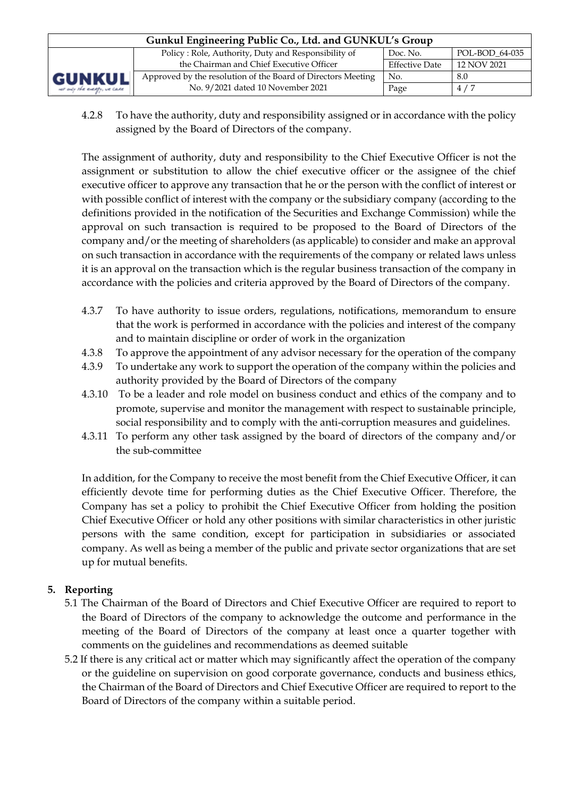| Gunkul Engineering Public Co., Ltd. and GUNKUL's Group                            |                                                              |                       |             |  |  |
|-----------------------------------------------------------------------------------|--------------------------------------------------------------|-----------------------|-------------|--|--|
| Policy: Role, Authority, Duty and Responsibility of<br>POL-BOD 64-035<br>Doc. No. |                                                              |                       |             |  |  |
| <b>GUNKUL</b><br>ver only the everyly, we care                                    | the Chairman and Chief Executive Officer                     | <b>Effective Date</b> | 12 NOV 2021 |  |  |
|                                                                                   | Approved by the resolution of the Board of Directors Meeting | No.                   | 8.0         |  |  |
|                                                                                   | No. 9/2021 dated 10 November 2021                            | Page                  | 4/7         |  |  |

4.2.8 To have the authority, duty and responsibility assigned or in accordance with the policy assigned by the Board of Directors of the company.

The assignment of authority, duty and responsibility to the Chief Executive Officer is not the assignment or substitution to allow the chief executive officer or the assignee of the chief executive officer to approve any transaction that he or the person with the conflict of interest or with possible conflict of interest with the company or the subsidiary company (according to the definitions provided in the notification of the Securities and Exchange Commission) while the approval on such transaction is required to be proposed to the Board of Directors of the company and/or the meeting of shareholders (as applicable) to consider and make an approval on such transaction in accordance with the requirements of the company or related laws unless it is an approval on the transaction which is the regular business transaction of the company in accordance with the policies and criteria approved by the Board of Directors of the company.

- 4.3.7 To have authority to issue orders, regulations, notifications, memorandum to ensure that the work is performed in accordance with the policies and interest of the company and to maintain discipline or order of work in the organization
- 4.3.8 To approve the appointment of any advisor necessary for the operation of the company
- 4.3.9 To undertake any work to support the operation of the company within the policies and authority provided by the Board of Directors of the company
- 4.3.10 To be a leader and role model on business conduct and ethics of the company and to promote, supervise and monitor the management with respect to sustainable principle, social responsibility and to comply with the anti-corruption measures and guidelines.
- 4.3.11 To perform any other task assigned by the board of directors of the company and/or the sub-committee

In addition, for the Company to receive the most benefit from the Chief Executive Officer, it can efficiently devote time for performing duties as the Chief Executive Officer. Therefore, the Company has set a policy to prohibit the Chief Executive Officer from holding the position Chief Executive Officer or hold any other positions with similar characteristics in other juristic persons with the same condition, except for participation in subsidiaries or associated company. As well as being a member of the public and private sector organizations that are set up for mutual benefits.

# **5. Reporting**

- 5.1 The Chairman of the Board of Directors and Chief Executive Officer are required to report to the Board of Directors of the company to acknowledge the outcome and performance in the meeting of the Board of Directors of the company at least once a quarter together with comments on the guidelines and recommendations as deemed suitable
- 5.2 If there is any critical act or matter which may significantly affect the operation of the company or the guideline on supervision on good corporate governance, conducts and business ethics, the Chairman of the Board of Directors and Chief Executive Officer are required to report to the Board of Directors of the company within a suitable period.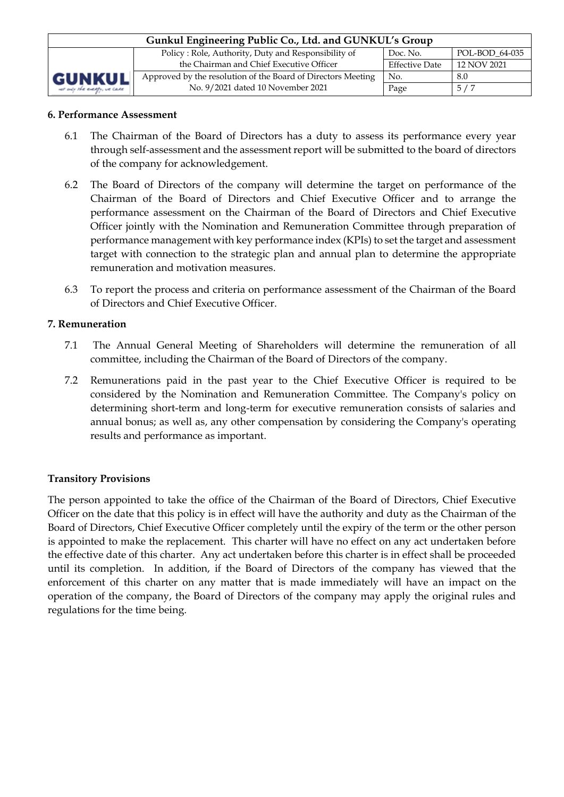| Gunkul Engineering Public Co., Ltd. and GUNKUL's Group                            |                                                              |                       |             |  |  |
|-----------------------------------------------------------------------------------|--------------------------------------------------------------|-----------------------|-------------|--|--|
| Policy: Role, Authority, Duty and Responsibility of<br>POL-BOD 64-035<br>Doc. No. |                                                              |                       |             |  |  |
| <b>GUNKUL</b><br>ver only the energy, we care                                     | the Chairman and Chief Executive Officer                     | <b>Effective Date</b> | 12 NOV 2021 |  |  |
|                                                                                   | Approved by the resolution of the Board of Directors Meeting | No.                   | 8.0         |  |  |
|                                                                                   | No. 9/2021 dated 10 November 2021                            | Page                  | 5/7         |  |  |

#### **6. Performance Assessment**

- 6.1 The Chairman of the Board of Directors has a duty to assess its performance every year through self-assessment and the assessment report will be submitted to the board of directors of the company for acknowledgement.
- 6.2 The Board of Directors of the company will determine the target on performance of the Chairman of the Board of Directors and Chief Executive Officer and to arrange the performance assessment on the Chairman of the Board of Directors and Chief Executive Officer jointly with the Nomination and Remuneration Committee through preparation of performance management with key performance index (KPIs) to set the target and assessment target with connection to the strategic plan and annual plan to determine the appropriate remuneration and motivation measures.
- 6.3 To report the process and criteria on performance assessment of the Chairman of the Board of Directors and Chief Executive Officer.

#### **7. Remuneration**

- 7.1 The Annual General Meeting of Shareholders will determine the remuneration of all committee, including the Chairman of the Board of Directors of the company.
- 7.2 Remunerations paid in the past year to the Chief Executive Officer is required to be considered by the Nomination and Remuneration Committee. The Company's policy on determining short-term and long-term for executive remuneration consists of salaries and annual bonus; as well as, any other compensation by considering the Company's operating results and performance as important.

## **Transitory Provisions**

The person appointed to take the office of the Chairman of the Board of Directors, Chief Executive Officer on the date that this policy is in effect will have the authority and duty as the Chairman of the Board of Directors, Chief Executive Officer completely until the expiry of the term or the other person is appointed to make the replacement. This charter will have no effect on any act undertaken before the effective date of this charter. Any act undertaken before this charter is in effect shall be proceeded until its completion. In addition, if the Board of Directors of the company has viewed that the enforcement of this charter on any matter that is made immediately will have an impact on the operation of the company, the Board of Directors of the company may apply the original rules and regulations for the time being.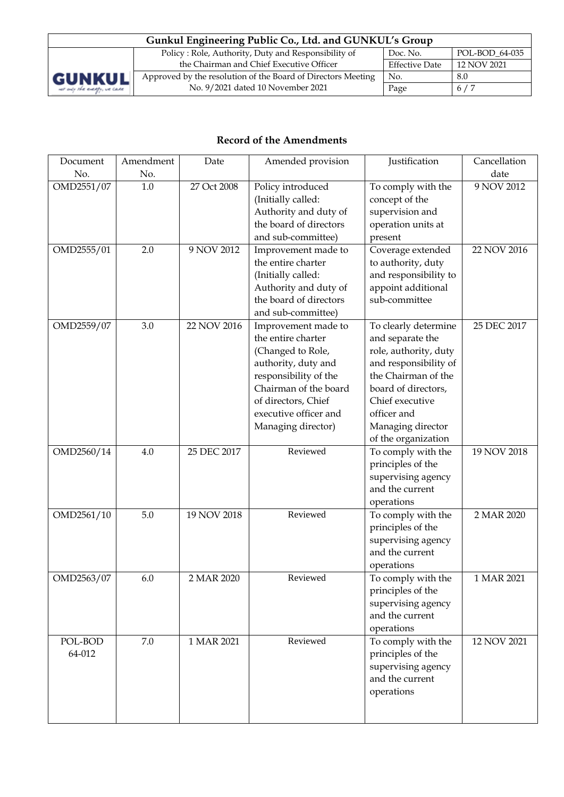| Gunkul Engineering Public Co., Ltd. and GUNKUL's Group                            |                                                              |                       |             |  |  |  |
|-----------------------------------------------------------------------------------|--------------------------------------------------------------|-----------------------|-------------|--|--|--|
| Policy: Role, Authority, Duty and Responsibility of<br>POL-BOD_64-035<br>Doc. No. |                                                              |                       |             |  |  |  |
|                                                                                   | the Chairman and Chief Executive Officer                     | <b>Effective Date</b> | 12 NOV 2021 |  |  |  |
| <b>GUNKUL</b>                                                                     | Approved by the resolution of the Board of Directors Meeting | No.                   | 8.0         |  |  |  |
| ver only the everyty, we care                                                     | No. 9/2021 dated 10 November 2021                            | Page                  | 6/7         |  |  |  |

# **Record of the Amendments**

| Document   | Amendment | Date        | Amended provision      | Justification         | Cancellation |
|------------|-----------|-------------|------------------------|-----------------------|--------------|
| No.        | No.       |             |                        |                       | date         |
| OMD2551/07 | 1.0       | 27 Oct 2008 | Policy introduced      | To comply with the    | 9 NOV 2012   |
|            |           |             | (Initially called:     | concept of the        |              |
|            |           |             | Authority and duty of  | supervision and       |              |
|            |           |             | the board of directors | operation units at    |              |
|            |           |             | and sub-committee)     | present               |              |
| OMD2555/01 | 2.0       | 9 NOV 2012  | Improvement made to    | Coverage extended     | 22 NOV 2016  |
|            |           |             | the entire charter     | to authority, duty    |              |
|            |           |             | (Initially called:     | and responsibility to |              |
|            |           |             | Authority and duty of  | appoint additional    |              |
|            |           |             | the board of directors | sub-committee         |              |
|            |           |             | and sub-committee)     |                       |              |
| OMD2559/07 | 3.0       | 22 NOV 2016 | Improvement made to    | To clearly determine  | 25 DEC 2017  |
|            |           |             | the entire charter     | and separate the      |              |
|            |           |             | (Changed to Role,      | role, authority, duty |              |
|            |           |             | authority, duty and    | and responsibility of |              |
|            |           |             | responsibility of the  | the Chairman of the   |              |
|            |           |             | Chairman of the board  | board of directors,   |              |
|            |           |             | of directors, Chief    | Chief executive       |              |
|            |           |             | executive officer and  | officer and           |              |
|            |           |             | Managing director)     | Managing director     |              |
|            |           |             |                        | of the organization   |              |
| OMD2560/14 | 4.0       | 25 DEC 2017 | Reviewed               | To comply with the    | 19 NOV 2018  |
|            |           |             |                        | principles of the     |              |
|            |           |             |                        | supervising agency    |              |
|            |           |             |                        | and the current       |              |
|            |           |             |                        | operations            |              |
| OMD2561/10 | 5.0       | 19 NOV 2018 | Reviewed               | To comply with the    | 2 MAR 2020   |
|            |           |             |                        | principles of the     |              |
|            |           |             |                        | supervising agency    |              |
|            |           |             |                        | and the current       |              |
|            |           |             |                        | operations            |              |
| OMD2563/07 | 6.0       | 2 MAR 2020  | Reviewed               | To comply with the    | 1 MAR 2021   |
|            |           |             |                        | principles of the     |              |
|            |           |             |                        | supervising agency    |              |
|            |           |             |                        | and the current       |              |
|            |           |             |                        | operations            |              |
| POL-BOD    | 7.0       | 1 MAR 2021  | Reviewed               | To comply with the    | 12 NOV 2021  |
| 64-012     |           |             |                        | principles of the     |              |
|            |           |             |                        | supervising agency    |              |
|            |           |             |                        | and the current       |              |
|            |           |             |                        | operations            |              |
|            |           |             |                        |                       |              |
|            |           |             |                        |                       |              |